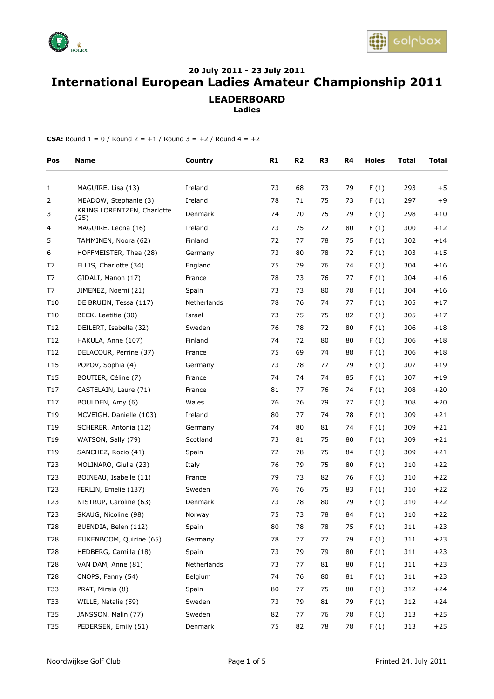



## **20 July 2011 - 23 July 2011 International European Ladies Amateur Championship 2011 LEADERBOARD**

**Ladies**

| Pos             | <b>Name</b>                        | Country     | R1 | R <sub>2</sub> | R3 | R4 | <b>Holes</b> | Total | Total |
|-----------------|------------------------------------|-------------|----|----------------|----|----|--------------|-------|-------|
| 1               | MAGUIRE, Lisa (13)                 | Ireland     | 73 | 68             | 73 | 79 | F(1)         | 293   | $+5$  |
| 2               | MEADOW, Stephanie (3)              | Ireland     | 78 | 71             | 75 | 73 | F(1)         | 297   | $+9$  |
| 3               | KRING LORENTZEN, Charlotte<br>(25) | Denmark     | 74 | 70             | 75 | 79 | F(1)         | 298   | $+10$ |
| 4               | MAGUIRE, Leona (16)                | Ireland     | 73 | 75             | 72 | 80 | F(1)         | 300   | $+12$ |
| 5               | TAMMINEN, Noora (62)               | Finland     | 72 | 77             | 78 | 75 | F(1)         | 302   | $+14$ |
| 6               | HOFFMEISTER, Thea (28)             | Germany     | 73 | 80             | 78 | 72 | F(1)         | 303   | $+15$ |
| T7              | ELLIS, Charlotte (34)              | England     | 75 | 79             | 76 | 74 | F(1)         | 304   | $+16$ |
| T7              | GIDALI, Manon (17)                 | France      | 78 | 73             | 76 | 77 | F(1)         | 304   | $+16$ |
| T7              | JIMENEZ, Noemi (21)                | Spain       | 73 | 73             | 80 | 78 | F(1)         | 304   | $+16$ |
| T10             | DE BRUIJN, Tessa (117)             | Netherlands | 78 | 76             | 74 | 77 | F(1)         | 305   | $+17$ |
| T10             | BECK, Laetitia (30)                | Israel      | 73 | 75             | 75 | 82 | F(1)         | 305   | $+17$ |
| T12             | DEILERT, Isabella (32)             | Sweden      | 76 | 78             | 72 | 80 | F(1)         | 306   | $+18$ |
| T12             | HAKULA, Anne (107)                 | Finland     | 74 | 72             | 80 | 80 | F(1)         | 306   | $+18$ |
| T12             | DELACOUR, Perrine (37)             | France      | 75 | 69             | 74 | 88 | F(1)         | 306   | $+18$ |
| T15             | POPOV, Sophia (4)                  | Germany     | 73 | 78             | 77 | 79 | F(1)         | 307   | $+19$ |
| T15             | BOUTIER, Céline (7)                | France      | 74 | 74             | 74 | 85 | F(1)         | 307   | $+19$ |
| T17             | CASTELAIN, Laure (71)              | France      | 81 | 77             | 76 | 74 | F(1)         | 308   | $+20$ |
| T <sub>17</sub> | BOULDEN, Amy (6)                   | Wales       | 76 | 76             | 79 | 77 | F(1)         | 308   | $+20$ |
| T19             | MCVEIGH, Danielle (103)            | Ireland     | 80 | 77             | 74 | 78 | F(1)         | 309   | $+21$ |
| T19             | SCHERER, Antonia (12)              | Germany     | 74 | 80             | 81 | 74 | F(1)         | 309   | $+21$ |
| T19             | WATSON, Sally (79)                 | Scotland    | 73 | 81             | 75 | 80 | F(1)         | 309   | $+21$ |
| T19             | SANCHEZ, Rocio (41)                | Spain       | 72 | 78             | 75 | 84 | F(1)         | 309   | $+21$ |
| T <sub>23</sub> | MOLINARO, Giulia (23)              | Italy       | 76 | 79             | 75 | 80 | F(1)         | 310   | $+22$ |
| T <sub>23</sub> | BOINEAU, Isabelle (11)             | France      | 79 | 73             | 82 | 76 | F(1)         | 310   | $+22$ |
| T <sub>23</sub> | FERLIN, Emelie (137)               | Sweden      | 76 | 76             | 75 | 83 | F(1)         | 310   | $+22$ |
| T <sub>23</sub> | NISTRUP, Caroline (63)             | Denmark     | 73 | 78             | 80 | 79 | F(1)         | 310   | $+22$ |
| T <sub>23</sub> | SKAUG, Nicoline (98)               | Norway      | 75 | 73             | 78 | 84 | F(1)         | 310   | $+22$ |
| T28             | BUENDIA, Belen (112)               | Spain       | 80 | 78             | 78 | 75 | F(1)         | 311   | +23   |
| T <sub>28</sub> | EIJKENBOOM, Quirine (65)           | Germany     | 78 | 77             | 77 | 79 | F(1)         | 311   | $+23$ |
| T <sub>28</sub> | HEDBERG, Camilla (18)              | Spain       | 73 | 79             | 79 | 80 | F(1)         | 311   | $+23$ |
| T <sub>28</sub> | VAN DAM, Anne (81)                 | Netherlands | 73 | 77             | 81 | 80 | F(1)         | 311   | $+23$ |
| T <sub>28</sub> | CNOPS, Fanny (54)                  | Belgium     | 74 | 76             | 80 | 81 | F(1)         | 311   | $+23$ |
| T33             | PRAT, Mireia (8)                   | Spain       | 80 | 77             | 75 | 80 | F(1)         | 312   | $+24$ |
| T33             | WILLE, Natalie (59)                | Sweden      | 73 | 79             | 81 | 79 | F(1)         | 312   | $+24$ |
| T35             | JANSSON, Malin (77)                | Sweden      | 82 | 77             | 76 | 78 | F(1)         | 313   | $+25$ |
| T35             | PEDERSEN, Emily (51)               | Denmark     | 75 | 82             | 78 | 78 | F(1)         | 313   | $+25$ |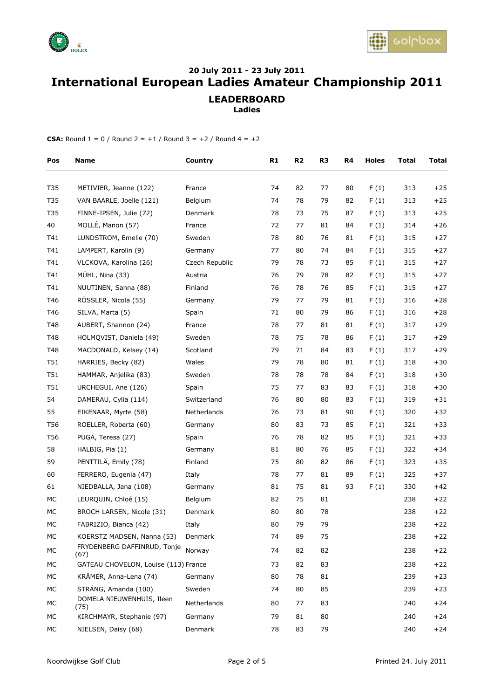

## **20 July 2011 - 23 July 2011 International European Ladies Amateur Championship 2011 LEADERBOARD Ladies**

| Pos  | Name                                 | Country        | R1 | R <sub>2</sub> | R <sub>3</sub> | R4 | Holes | Total | Total |
|------|--------------------------------------|----------------|----|----------------|----------------|----|-------|-------|-------|
| T35  | METIVIER, Jeanne (122)               | France         | 74 | 82             | 77             | 80 | F(1)  | 313   | $+25$ |
| T35  | VAN BAARLE, Joelle (121)             | Belgium        | 74 | 78             | 79             | 82 | F(1)  | 313   | $+25$ |
| T35  | FINNE-IPSEN, Julie (72)              | Denmark        | 78 | 73             | 75             | 87 | F(1)  | 313   | $+25$ |
| 40   | MOLLÉ, Manon (57)                    | France         | 72 | 77             | 81             | 84 | F(1)  | 314   | $+26$ |
| T41  | LUNDSTROM, Emelie (70)               | Sweden         | 78 | 80             | 76             | 81 | F(1)  | 315   | $+27$ |
| T41  | LAMPERT, Karolin (9)                 | Germany        | 77 | 80             | 74             | 84 | F(1)  | 315   | $+27$ |
| T41  | VLCKOVA, Karolina (26)               | Czech Republic | 79 | 78             | 73             | 85 | F(1)  | 315   | $+27$ |
| T41  | MÜHL, Nina (33)                      | Austria        | 76 | 79             | 78             | 82 | F(1)  | 315   | $+27$ |
| T41  | NUUTINEN, Sanna (88)                 | Finland        | 76 | 78             | 76             | 85 | F(1)  | 315   | $+27$ |
| T46  | RÖSSLER, Nicola (55)                 | Germany        | 79 | 77             | 79             | 81 | F(1)  | 316   | $+28$ |
| T46  | SILVA, Marta (5)                     | Spain          | 71 | 80             | 79             | 86 | F(1)  | 316   | $+28$ |
| T48  | AUBERT, Shannon (24)                 | France         | 78 | 77             | 81             | 81 | F(1)  | 317   | $+29$ |
| T48  | HOLMQVIST, Daniela (49)              | Sweden         | 78 | 75             | 78             | 86 | F(1)  | 317   | $+29$ |
| T48  | MACDONALD, Kelsey (14)               | Scotland       | 79 | 71             | 84             | 83 | F(1)  | 317   | $+29$ |
| T51  | HARRIES, Becky (82)                  | Wales          | 79 | 78             | 80             | 81 | F(1)  | 318   | $+30$ |
| T51  | HAMMAR, Anjelika (83)                | Sweden         | 78 | 78             | 78             | 84 | F(1)  | 318   | $+30$ |
| T51  | URCHEGUI, Ane (126)                  | Spain          | 75 | 77             | 83             | 83 | F(1)  | 318   | $+30$ |
| 54   | DAMERAU, Cylia (114)                 | Switzerland    | 76 | 80             | 80             | 83 | F(1)  | 319   | $+31$ |
| 55   | EIKENAAR, Myrte (58)                 | Netherlands    | 76 | 73             | 81             | 90 | F(1)  | 320   | $+32$ |
| T56  | ROELLER, Roberta (60)                | Germany        | 80 | 83             | 73             | 85 | F(1)  | 321   | $+33$ |
| T56  | PUGA, Teresa (27)                    | Spain          | 76 | 78             | 82             | 85 | F(1)  | 321   | $+33$ |
| 58   | HALBIG, Pia (1)                      | Germany        | 81 | 80             | 76             | 85 | F(1)  | 322   | $+34$ |
| 59   | PENTTILÄ, Emily (78)                 | Finland        | 75 | 80             | 82             | 86 | F(1)  | 323   | $+35$ |
| 60   | FERRERO, Eugenia (47)                | Italy          | 78 | 77             | 81             | 89 | F(1)  | 325   | $+37$ |
| 61   | NIEDBALLA, Jana (108)                | Germany        | 81 | 75             | 81             | 93 | F(1)  | 330   | $+42$ |
| MC   | LEURQUIN, Chloé (15)                 | Belgium        | 82 | 75             | 81             |    |       | 238   | $+22$ |
| MC   | BROCH LARSEN, Nicole (31)            | Denmark        | 80 | 80             | 78             |    |       | 238   | $+22$ |
| $MC$ | FABRIZIO, Bianca (42)                | Italy          | 80 | 79             | 79             |    |       | 238   | $+22$ |
| МC   | KOERSTZ MADSEN, Nanna (53)           | Denmark        | 74 | 89             | 75             |    |       | 238   | $+22$ |
| МC   | FRYDENBERG DAFFINRUD, Tonje<br>(67)  | Norway         | 74 | 82             | 82             |    |       | 238   | $+22$ |
| МC   | GATEAU CHOVELON, Louise (113) France |                | 73 | 82             | 83             |    |       | 238   | $+22$ |
| МC   | KRÄMER, Anna-Lena (74)               | Germany        | 80 | 78             | 81             |    |       | 239   | $+23$ |
| МC   | STRÄNG, Amanda (100)                 | Sweden         | 74 | 80             | 85             |    |       | 239   | $+23$ |
| МC   | DOMELA NIEUWENHUIS, Ileen<br>(75)    | Netherlands    | 80 | 77             | 83             |    |       | 240   | $+24$ |
| MC   | KIRCHMAYR, Stephanie (97)            | Germany        | 79 | 81             | 80             |    |       | 240   | $+24$ |
| MC   | NIELSEN, Daisy (68)                  | Denmark        | 78 | 83             | 79             |    |       | 240   | $+24$ |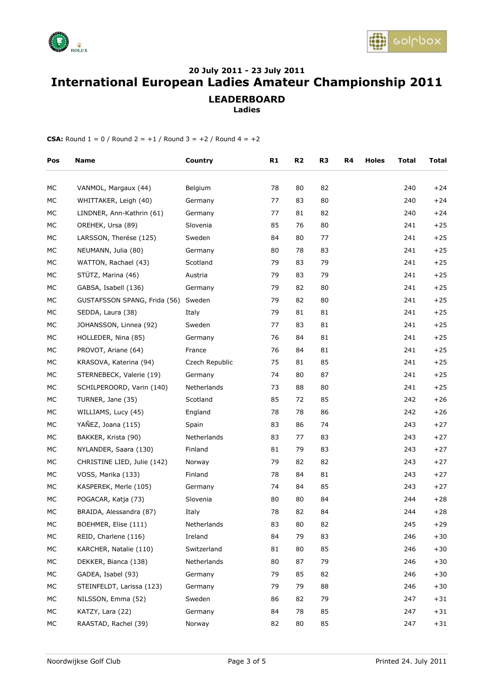



## **20 July 2011 - 23 July 2011 International European Ladies Amateur Championship 2011 LEADERBOARD Ladies**

| Pos  | Name                                | Country        | R1 | R <sub>2</sub> | R <sub>3</sub> | R4 | <b>Holes</b> | <b>Total</b> | Total |
|------|-------------------------------------|----------------|----|----------------|----------------|----|--------------|--------------|-------|
| МC   | VANMOL, Margaux (44)                | Belgium        | 78 | 80             | 82             |    |              | 240          | $+24$ |
| МC   | WHITTAKER, Leigh (40)               | Germany        | 77 | 83             | 80             |    |              | 240          | $+24$ |
| МC   | LINDNER, Ann-Kathrin (61)           | Germany        | 77 | 81             | 82             |    |              | 240          | $+24$ |
| МC   | OREHEK, Ursa (89)                   | Slovenia       | 85 | 76             | 80             |    |              | 241          | $+25$ |
| МC   | LARSSON, Therése (125)              | Sweden         | 84 | 80             | 77             |    |              | 241          | $+25$ |
| МC   | NEUMANN, Julia (80)                 | Germany        | 80 | 78             | 83             |    |              | 241          | $+25$ |
| МC   | WATTON, Rachael (43)                | Scotland       | 79 | 83             | 79             |    |              | 241          | $+25$ |
| МC   | STÜTZ, Marina (46)                  | Austria        | 79 | 83             | 79             |    |              | 241          | $+25$ |
| МC   | GABSA, Isabell (136)                | Germany        | 79 | 82             | 80             |    |              | 241          | $+25$ |
| МC   | GUSTAFSSON SPANG, Frida (56) Sweden |                | 79 | 82             | 80             |    |              | 241          | $+25$ |
| МC   | SEDDA, Laura (38)                   | Italy          | 79 | 81             | 81             |    |              | 241          | $+25$ |
| МC   | JOHANSSON, Linnea (92)              | Sweden         | 77 | 83             | 81             |    |              | 241          | $+25$ |
| МC   | HOLLEDER, Nina (85)                 | Germany        | 76 | 84             | 81             |    |              | 241          | $+25$ |
| МC   | PROVOT, Ariane (64)                 | France         | 76 | 84             | 81             |    |              | 241          | $+25$ |
| МC   | KRASOVA, Katerina (94)              | Czech Republic | 75 | 81             | 85             |    |              | 241          | $+25$ |
| МC   | STERNEBECK, Valerie (19)            | Germany        | 74 | 80             | 87             |    |              | 241          | $+25$ |
| МC   | SCHILPEROORD, Varin (140)           | Netherlands    | 73 | 88             | 80             |    |              | 241          | $+25$ |
| МC   | TURNER, Jane (35)                   | Scotland       | 85 | 72             | 85             |    |              | 242          | $+26$ |
| МC   | WILLIAMS, Lucy (45)                 | England        | 78 | 78             | 86             |    |              | 242          | $+26$ |
| МC   | YAÑEZ, Joana (115)                  | Spain          | 83 | 86             | 74             |    |              | 243          | $+27$ |
| МC   | BAKKER, Krista (90)                 | Netherlands    | 83 | 77             | 83             |    |              | 243          | $+27$ |
| МC   | NYLANDER, Saara (130)               | Finland        | 81 | 79             | 83             |    |              | 243          | $+27$ |
| МC   | CHRISTINE LIED, Julie (142)         | Norway         | 79 | 82             | 82             |    |              | 243          | $+27$ |
| МC   | VOSS, Marika (133)                  | Finland        | 78 | 84             | 81             |    |              | 243          | $+27$ |
| МC   | KASPEREK, Merle (105)               | Germany        | 74 | 84             | 85             |    |              | 243          | $+27$ |
| МC   | POGACAR, Katja (73)                 | Slovenia       | 80 | 80             | 84             |    |              | 244          | $+28$ |
| МC   | BRAIDA, Alessandra (87)             | Italy          | 78 | 82             | 84             |    |              | 244          | $+28$ |
| $MC$ | BOEHMER, Elise (111)                | Netherlands    | 83 | 80             | 82             |    |              | 245          | $+29$ |
| МC   | REID, Charlene (116)                | Ireland        | 84 | 79             | 83             |    |              | 246          | $+30$ |
| МC   | KARCHER, Natalie (110)              | Switzerland    | 81 | 80             | 85             |    |              | 246          | $+30$ |
| МC   | DEKKER, Bianca (138)                | Netherlands    | 80 | 87             | 79             |    |              | 246          | $+30$ |
| МC   | GADEA, Isabel (93)                  | Germany        | 79 | 85             | 82             |    |              | 246          | $+30$ |
| МC   | STEINFELDT, Larissa (123)           | Germany        | 79 | 79             | 88             |    |              | 246          | $+30$ |
| МC   | NILSSON, Emma (52)                  | Sweden         | 86 | 82             | 79             |    |              | 247          | $+31$ |
| МC   | KATZY, Lara (22)                    | Germany        | 84 | 78             | 85             |    |              | 247          | $+31$ |
| МC   | RAASTAD, Rachel (39)                | Norway         | 82 | 80             | 85             |    |              | 247          | $+31$ |